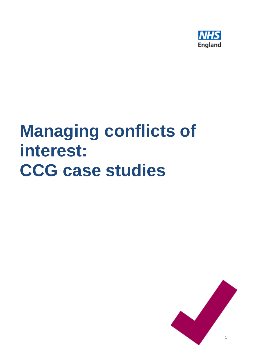

# **Managing conflicts of interest: CCG case studies**

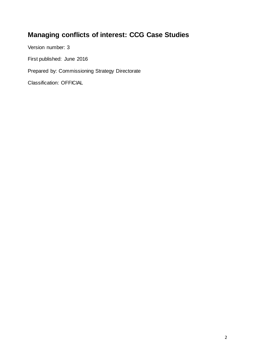# **Managing conflicts of interest: CCG Case Studies**

Version number: 3

First published: June 2016

Prepared by: Commissioning Strategy Directorate

Classification: OFFICIAL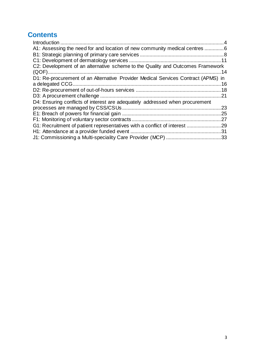# **Contents**

| A1: Assessing the need for and location of new community medical centres 6                           |     |
|------------------------------------------------------------------------------------------------------|-----|
|                                                                                                      |     |
|                                                                                                      |     |
| C2: Development of an alternative scheme to the Quality and Outcomes Framework                       |     |
| D1: Re-procurement of an Alternative Provider Medical Services Contract (APMS) in<br>a delegated CCG |     |
|                                                                                                      |     |
|                                                                                                      | 21  |
| D4: Ensuring conflicts of interest are adequately addressed when procurement                         |     |
|                                                                                                      | 23  |
|                                                                                                      | .25 |
|                                                                                                      |     |
|                                                                                                      |     |
|                                                                                                      |     |
|                                                                                                      |     |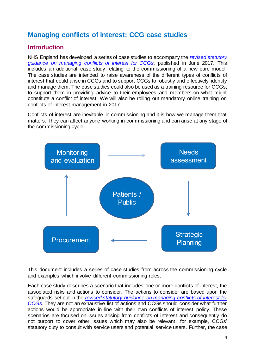# **Managing conflicts of interest: CCG case studies**

#### <span id="page-3-0"></span>**Introduction**

NHS England has developed a series of case studies to accompany the *revised [statutory](https://www.england.nhs.uk/commissioning/pc-co-comms/coi/)  [guidance on managing conflicts of interest for CCGs](https://www.england.nhs.uk/commissioning/pc-co-comms/coi/)*, published in June 2017. This includes an additional case study relating to the commissioning of a new care model. The case studies are intended to raise awareness of the different types of conflicts of interest that could arise in CCGs and to support CCGs to robustly and effectively identify and manage them. The case studies could also be used as a training resource for CCGs, to support them in providing advice to their employees and members on what might constitute a conflict of interest. We will also be rolling out mandatory online training on conflicts of interest management in 2017.

Conflicts of interest are inevitable in commissioning and it is how we manage them that matters. They can affect anyone working in commissioning and can arise at any stage of the commissioning cycle:



This document includes a series of case studies from across the commissioning cycle and examples which involve different commissioning roles.

Each case study describes a scenario that includes one or more conflicts of interest, the associated risks and actions to consider. The actions to consider are based upon the safeguards set out in the *[revised statutory guidance on managing conflicts of interest for](https://www.england.nhs.uk/commissioning/pc-co-comms/coi/)  [CCGs.](https://www.england.nhs.uk/commissioning/pc-co-comms/coi/)* They are not an exhaustive list of actions and CCGs should consider what further actions would be appropriate in line with their own conflicts of interest policy. These scenarios are focused on issues arising from conflicts of interest and consequently do not purport to cover other issues which may also be relevant, for example, CCGs' statutory duty to consult with service users and potential service users. Further, the case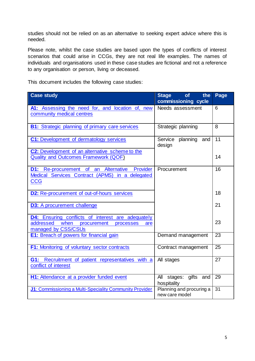studies should not be relied on as an alternative to seeking expert advice where this is needed.

Please note, whilst the case studies are based upon the types of conflicts of interest scenarios that could arise in CCGs, they are not real life examples. The names of individuals and organisations used in these case studies are fictional and not a reference to any organisation or person, living or deceased.

This document includes the following case studies:

| <b>Case study</b>                                                                                                                    | <b>of</b><br>the<br><b>Stage</b><br>commissioning cycle | Page            |
|--------------------------------------------------------------------------------------------------------------------------------------|---------------------------------------------------------|-----------------|
| A1: Assessing the need for, and location of, new<br>community medical centres                                                        | Needs assessment                                        | 6               |
| <b>B1:</b> Strategic planning of primary care services                                                                               | Strategic planning                                      | 8               |
| C1: Development of dermatology services                                                                                              | planning<br>Service<br>and<br>design                    | 11              |
| C2: Development of an alternative scheme to the<br><b>Quality and Outcomes Framework (QOF)</b>                                       |                                                         | 14              |
| <b>D1:</b> Re-procurement of an Alternative<br>Provider<br>Medical Services Contract (APMS) in a delegated<br><b>CCG</b>             | Procurement                                             | 16              |
| <b>D2:</b> Re-procurement of out-of-hours services                                                                                   |                                                         | 18              |
| <b>D3:</b> A procurement challenge                                                                                                   |                                                         | 21              |
| <b>D4:</b> Ensuring conflicts of interest are adequately<br>addressed when<br>procurement<br>processes<br>are<br>managed by CSS/CSUs |                                                         | 23              |
| <b>E1:</b> Breach of powers for financial gain                                                                                       | Demand management                                       | 23              |
| <b>F1:</b> Monitoring of voluntary sector contracts                                                                                  | Contract management                                     | 25              |
| G1: Recruitment of patient representatives with a<br>conflict of interest                                                            | All stages                                              | 27              |
| H1: Attendance at a provider funded event                                                                                            | stages: gifts<br>All<br>and<br>hospitality              | 29              |
| J1: Commissioning a Multi-Speciality Community Provider                                                                              | Planning and procuring a<br>new care model              | $\overline{31}$ |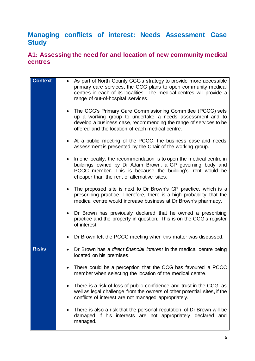# <span id="page-5-1"></span>**Managing conflicts of interest: Needs Assessment Case Study**

#### <span id="page-5-0"></span>**A1: Assessing the need for and location of new community medical centres**

| <b>Context</b> | As part of North County CCG's strategy to provide more accessible<br>primary care services, the CCG plans to open community medical<br>centres in each of its localities. The medical centres will provide a<br>range of out-of-hospital services.            |
|----------------|---------------------------------------------------------------------------------------------------------------------------------------------------------------------------------------------------------------------------------------------------------------|
|                | The CCG's Primary Care Commissioning Committee (PCCC) sets<br>$\bullet$<br>up a working group to undertake a needs assessment and to<br>develop a business case, recommending the range of services to be<br>offered and the location of each medical centre. |
|                | At a public meeting of the PCCC, the business case and needs<br>assessment is presented by the Chair of the working group.                                                                                                                                    |
|                | In one locality, the recommendation is to open the medical centre in<br>$\bullet$<br>buildings owned by Dr Adam Brown, a GP governing body and<br>PCCC member. This is because the building's rent would be<br>cheaper than the rent of alternative sites.    |
|                | The proposed site is next to Dr Brown's GP practice, which is a<br>prescribing practice. Therefore, there is a high probability that the<br>medical centre would increase business at Dr Brown's pharmacy.                                                    |
|                | Dr Brown has previously declared that he owned a prescribing<br>practice and the property in question. This is on the CCG's register<br>of interest.                                                                                                          |
|                | Dr Brown left the PCCC meeting when this matter was discussed.<br>$\bullet$                                                                                                                                                                                   |
| <b>Risks</b>   | Dr Brown has a direct financial interest in the medical centre being<br>$\bullet$<br>located on his premises.                                                                                                                                                 |
|                | There could be a perception that the CCG has favoured a PCCC<br>member when selecting the location of the medical centre.                                                                                                                                     |
|                | There is a risk of loss of public confidence and trust in the CCG, as<br>٠<br>well as legal challenge from the owners of other potential sites, if the<br>conflicts of interest are not managed appropriately.                                                |
|                | There is also a risk that the personal reputation of Dr Brown will be<br>damaged if his interests are not appropriately<br>declared and<br>managed.                                                                                                           |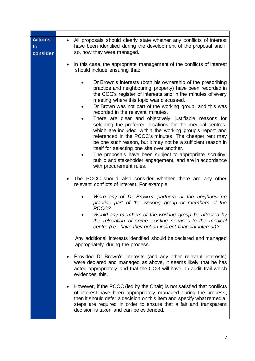| <b>Actions</b><br>to<br>consider | All proposals should clearly state whether any conflicts of interest<br>$\bullet$<br>have been identified during the development of the proposal and if<br>so, how they were managed.                                                                                                                                                                                                                                                                                                                                                                                                                                                                                                                                                                                                                                                                |
|----------------------------------|------------------------------------------------------------------------------------------------------------------------------------------------------------------------------------------------------------------------------------------------------------------------------------------------------------------------------------------------------------------------------------------------------------------------------------------------------------------------------------------------------------------------------------------------------------------------------------------------------------------------------------------------------------------------------------------------------------------------------------------------------------------------------------------------------------------------------------------------------|
|                                  | In this case, the appropriate management of the conflicts of interest<br>should include ensuring that:                                                                                                                                                                                                                                                                                                                                                                                                                                                                                                                                                                                                                                                                                                                                               |
|                                  | Dr Brown's interests (both his ownership of the prescribing<br>practice and neighbouring property) have been recorded in<br>the CCG's register of interests and in the minutes of every<br>meeting where this topic was discussed.<br>Dr Brown was not part of the working group, and this was<br>recorded in the relevant minutes.<br>There are clear and objectively justifiable reasons for<br>selecting the preferred locations for the medical centres,<br>which are included within the working group's report and<br>referenced in the PCCC's minutes. The cheaper rent may<br>be one such reason, but it may not be a sufficient reason in<br>itself for selecting one site over another.<br>The proposals have been subject to appropriate scrutiny,<br>public and stakeholder engagement, and are in accordance<br>with procurement rules. |
|                                  | The PCCC should also consider whether there are any other<br>٠<br>relevant conflicts of interest. For example:                                                                                                                                                                                                                                                                                                                                                                                                                                                                                                                                                                                                                                                                                                                                       |
|                                  | Were any of Dr Brown's partners at the neighbouring<br>practice part of the working group or members of the<br>PCCC?<br>Would any members of the working group be affected by<br>the relocation of some existing services to the medical<br>centre (i.e., have they got an indirect financial interest)?                                                                                                                                                                                                                                                                                                                                                                                                                                                                                                                                             |
|                                  | Any additional interests identified should be declared and managed<br>appropriately during the process.                                                                                                                                                                                                                                                                                                                                                                                                                                                                                                                                                                                                                                                                                                                                              |
|                                  | Provided Dr Brown's interests (and any other relevant interests)<br>were declared and managed as above, it seems likely that he has<br>acted appropriately and that the CCG will have an audit trail which<br>evidences this.                                                                                                                                                                                                                                                                                                                                                                                                                                                                                                                                                                                                                        |
|                                  | However, if the PCCC (led by the Chair) is not satisfied that conflicts<br>$\bullet$<br>of interest have been appropriately managed during the process,<br>then it should defer a decision on this item and specify what remedial<br>steps are required in order to ensure that a fair and transparent<br>decision is taken and can be evidenced.                                                                                                                                                                                                                                                                                                                                                                                                                                                                                                    |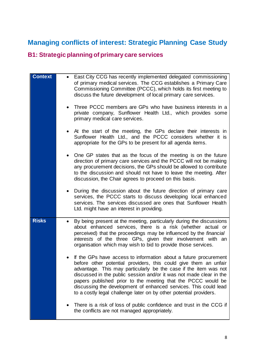# <span id="page-7-1"></span>**Managing conflicts of interest: Strategic Planning Case Study**

## <span id="page-7-0"></span>**B1: Strategic planning of primary care services**

| <b>Context</b> | East City CCG has recently implemented delegated commissioning<br>of primary medical services. The CCG establishes a Primary Care<br>Commissioning Committee (PCCC), which holds its first meeting to<br>discuss the future development of local primary care services.<br>Three PCCC members are GPs who have business interests in a<br>private company, Sunflower Health Ltd., which provides some<br>primary medical care services.<br>At the start of the meeting, the GPs declare their interests in<br>Sunflower Health Ltd., and the PCCC considers whether it is<br>appropriate for the GPs to be present for all agenda items.<br>One GP states that as the focus of the meeting is on the future |
|----------------|-------------------------------------------------------------------------------------------------------------------------------------------------------------------------------------------------------------------------------------------------------------------------------------------------------------------------------------------------------------------------------------------------------------------------------------------------------------------------------------------------------------------------------------------------------------------------------------------------------------------------------------------------------------------------------------------------------------|
|                | direction of primary care services and the PCCC will not be making<br>any procurement decisions, the GPs should be allowed to contribute<br>to the discussion and should not have to leave the meeting. After<br>discussion, the Chair agrees to proceed on this basis.                                                                                                                                                                                                                                                                                                                                                                                                                                     |
|                | During the discussion about the future direction of primary care<br>services, the PCCC starts to discuss developing local enhanced<br>services. The services discussed are ones that Sunflower Health<br>Ltd. might have an interest in providing.                                                                                                                                                                                                                                                                                                                                                                                                                                                          |
| <b>Risks</b>   | By being present at the meeting, particularly during the discussions<br>$\bullet$<br>about enhanced services, there is a risk (whether actual or<br>perceived) that the proceedings may be influenced by the <i>financial</i><br>interests of the three GPs, given their involvement with an<br>organisation which may wish to bid to provide those services.                                                                                                                                                                                                                                                                                                                                               |
|                | If the GPs have access to information about a future procurement<br>before other potential providers, this could give them an unfair<br>advantage. This may particularly be the case if the item was not<br>discussed in the public session and/or it was not made clear in the<br>papers published prior to the meeting that the PCCC would be<br>discussing the development of enhanced services. This could lead<br>to a costly legal challenge later on by other potential providers.                                                                                                                                                                                                                   |
|                | There is a risk of loss of public confidence and trust in the CCG if<br>the conflicts are not managed appropriately.                                                                                                                                                                                                                                                                                                                                                                                                                                                                                                                                                                                        |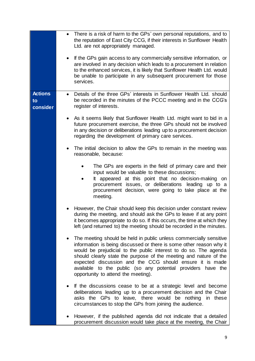|                                  | There is a risk of harm to the GPs' own personal reputations, and to<br>$\bullet$<br>the reputation of East City CCG, if their interests in Sunflower Health<br>Ltd. are not appropriately managed.<br>If the GPs gain access to any commercially sensitive information, or<br>$\bullet$<br>are involved in any decision which leads to a procurement in relation<br>to the enhanced services, it is likely that Sunflower Health Ltd. would<br>be unable to participate in any subsequent procurement for those<br>services. |
|----------------------------------|-------------------------------------------------------------------------------------------------------------------------------------------------------------------------------------------------------------------------------------------------------------------------------------------------------------------------------------------------------------------------------------------------------------------------------------------------------------------------------------------------------------------------------|
| <b>Actions</b><br>to<br>consider | Details of the three GPs' interests in Sunflower Health Ltd. should<br>$\bullet$<br>be recorded in the minutes of the PCCC meeting and in the CCG's<br>register of interests.                                                                                                                                                                                                                                                                                                                                                 |
|                                  | As it seems likely that Sunflower Health Ltd. might want to bid in a<br>future procurement exercise, the three GPs should not be involved<br>in any decision or deliberations leading up to a procurement decision<br>regarding the development of primary care services.                                                                                                                                                                                                                                                     |
|                                  | The initial decision to allow the GPs to remain in the meeting was<br>reasonable, because:                                                                                                                                                                                                                                                                                                                                                                                                                                    |
|                                  | The GPs are experts in the field of primary care and their<br>input would be valuable to these discussions;<br>It appeared at this point that no decision-making on<br>procurement issues, or deliberations<br>leading up to a<br>procurement decision, were going to take place at the<br>meeting.                                                                                                                                                                                                                           |
|                                  | However, the Chair should keep this decision under constant review<br>during the meeting, and should ask the GPs to leave if at any point<br>it becomes appropriate to do so. If this occurs, the time at which they<br>left (and returned to) the meeting should be recorded in the minutes.                                                                                                                                                                                                                                 |
|                                  | The meeting should be held in public unless commercially sensitive<br>information is being discussed or there is some other reason why it<br>would be prejudicial to the public interest to do so. The agenda<br>should clearly state the purpose of the meeting and nature of the<br>expected discussion and the CCG should ensure it is made<br>available to the public (so any potential providers have the<br>opportunity to attend the meeting).                                                                         |
|                                  | If the discussions cease to be at a strategic level and become<br>$\bullet$<br>deliberations leading up to a procurement decision and the Chair<br>asks the GPs to leave, there would be nothing in these<br>circumstances to stop the GPs from joining the audience.                                                                                                                                                                                                                                                         |
|                                  | However, if the published agenda did not indicate that a detailed<br>procurement discussion would take place at the meeting, the Chair                                                                                                                                                                                                                                                                                                                                                                                        |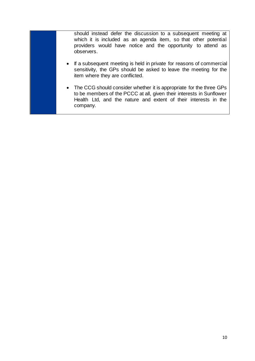should instead defer the discussion to a subsequent meeting at which it is included as an agenda item, so that other potential providers would have notice and the opportunity to attend as observers.

- If a subsequent meeting is held in private for reasons of commercial sensitivity, the GPs should be asked to leave the meeting for the item where they are conflicted.
- The CCG should consider whether it is appropriate for the three GPs to be members of the PCCC at all, given their interests in Sunflower Health Ltd, and the nature and extent of their interests in the company.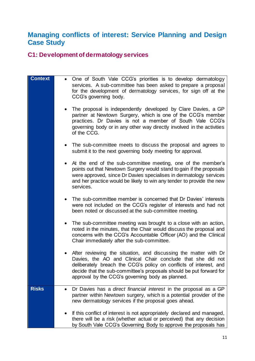# <span id="page-10-1"></span>**Managing conflicts of interest: Service Planning and Design Case Study**

## <span id="page-10-0"></span>**C1: Development of dermatology services**

| <b>Context</b> | One of South Vale CCG's priorities is to develop dermatology<br>$\bullet$<br>services. A sub-committee has been asked to prepare a proposal<br>for the development of dermatology services, for sign off at the<br>CCG's governing body.<br>The proposal is independently developed by Clare Davies, a GP                        |
|----------------|----------------------------------------------------------------------------------------------------------------------------------------------------------------------------------------------------------------------------------------------------------------------------------------------------------------------------------|
|                | partner at Newtown Surgery, which is one of the CCG's member<br>practices. Dr Davies is not a member of South Vale CCG's<br>governing body or in any other way directly involved in the activities<br>of the CCG.                                                                                                                |
|                | The sub-committee meets to discuss the proposal and agrees to<br>submit it to the next governing body meeting for approval.                                                                                                                                                                                                      |
|                | At the end of the sub-committee meeting, one of the member's<br>points out that Newtown Surgery would stand to gain if the proposals<br>were approved, since Dr Davies specialises in dermatology services<br>and her practice would be likely to win any tender to provide the new<br>services.                                 |
|                | The sub-committee member is concerned that Dr Davies' interests<br>were not included on the CCG's register of interests and had not<br>been noted or discussed at the sub-committee meeting.                                                                                                                                     |
|                | The sub-committee meeting was brought to a close with an action,<br>٠<br>noted in the minutes, that the Chair would discuss the proposal and<br>concerns with the CCG's Accountable Officer (AO) and the Clinical<br>Chair immediately after the sub-committee.                                                                  |
|                | After reviewing the situation, and discussing the matter with Dr<br>Davies, the AO and Clinical Chair conclude that she did not<br>deliberately breach the CCG's policy on conflicts of interest, and<br>decide that the sub-committee's proposals should be put forward for<br>approval by the CCG's governing body as planned. |
| <b>Risks</b>   | Dr Davies has a direct financial interest in the proposal as a GP<br>partner within Newtown surgery, which is a potential provider of the<br>new dermatology services if the proposal goes ahead.                                                                                                                                |
|                | If this conflict of interest is not appropriately declared and managed,<br>there will be a risk (whether actual or perceived) that any decision<br>by South Vale CCG's Governing Body to approve the proposals has                                                                                                               |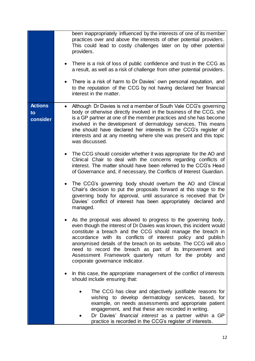|                                  | been inappropriately influenced by the interests of one of its member<br>practices over and above the interests of other potential providers.<br>This could lead to costly challenges later on by other potential<br>providers.<br>There is a risk of loss of public confidence and trust in the CCG as<br>a result, as well as a risk of challenge from other potential providers.<br>There is a risk of harm to Dr Davies' own personal reputation, and<br>to the reputation of the CCG by not having declared her financial<br>interest in the matter. |
|----------------------------------|-----------------------------------------------------------------------------------------------------------------------------------------------------------------------------------------------------------------------------------------------------------------------------------------------------------------------------------------------------------------------------------------------------------------------------------------------------------------------------------------------------------------------------------------------------------|
| <b>Actions</b><br>to<br>consider | Although Dr Davies is not a member of South Vale CCG's governing<br>body or otherwise directly involved in the business of the CCG, she<br>is a GP partner at one of the member practices and she has become<br>involved in the development of dermatology services. This means<br>she should have declared her interests in the CCG's register of<br>interests and at any meeting where she was present and this topic<br>was discussed.<br>The CCG should consider whether it was appropriate for the AO and                                            |
|                                  | Clinical Chair to deal with the concerns regarding conflicts of<br>interest. The matter should have been referred to the CCG's Head<br>of Governance and, if necessary, the Conflicts of Interest Guardian.<br>The CCG's governing body should overturn the AO and Clinical<br>Chair's decision to put the proposals forward at this stage to the<br>governing body for approval, until assurance is received that Dr<br>Davies' conflict of interest has been appropriately declared and<br>managed.                                                     |
|                                  | As the proposal was allowed to progress to the governing body,<br>even though the interest of Dr Davies was known, this incident would<br>constitute a breach and the CCG should manage the breach in<br>accordance with its conflicts of interest policy and publish<br>anonymised details of the breach on its website. The CCG will also<br>need to record the breach as part of its Improvement<br>and<br>Assessment Framework quarterly return for the probity<br>and<br>corporate governance indicator.                                             |
|                                  | In this case, the appropriate management of the conflict of interests<br>should include ensuring that:<br>The CCG has clear and objectively justifiable reasons for<br>wishing to develop dermatology services, based, for<br>example, on needs assessments and appropriate patient                                                                                                                                                                                                                                                                       |
|                                  | engagement, and that these are recorded in writing.<br>Dr Davies' financial interest as a partner within a GP<br>practice is recorded in the CCG's register of interests.                                                                                                                                                                                                                                                                                                                                                                                 |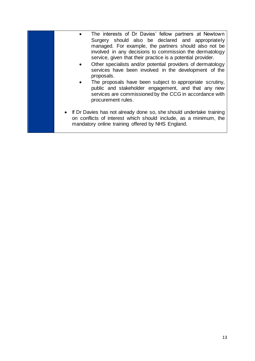| The interests of Dr Davies' fellow partners at Newtown<br>Surgery should also be declared and appropriately<br>managed. For example, the partners should also not be<br>involved in any decisions to commission the dermatology<br>service, given that their practice is a potential provider.<br>Other specialists and/or potential providers of dermatology<br>services have been involved in the development of the<br>proposals.<br>The proposals have been subject to appropriate scrutiny,<br>public and stakeholder engagement, and that any new<br>services are commissioned by the CCG in accordance with<br>procurement rules. |
|------------------------------------------------------------------------------------------------------------------------------------------------------------------------------------------------------------------------------------------------------------------------------------------------------------------------------------------------------------------------------------------------------------------------------------------------------------------------------------------------------------------------------------------------------------------------------------------------------------------------------------------|
| • If Dr Davies has not already done so, she should undertake training<br>on conflicts of interest which should include, as a minimum, the<br>mandatory online training offered by NHS England.                                                                                                                                                                                                                                                                                                                                                                                                                                           |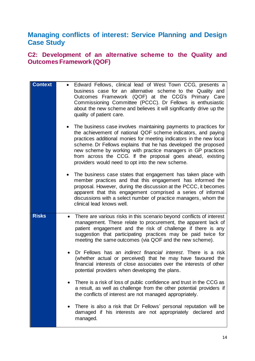## <span id="page-13-1"></span>**Managing conflicts of interest: Service Planning and Design Case Study**

#### <span id="page-13-0"></span>**C2: Development of an alternative scheme to the Quality and Outcomes Framework (QOF)**

| <b>Context</b> | Edward Fellows, clinical lead of West Town CCG, presents a<br>$\bullet$<br>business case for an alternative scheme to the Quality and<br>Outcomes Framework (QOF) at the CCG's Primary Care<br>Commissioning Committee (PCCC). Dr Fellows is enthusiastic<br>about the new scheme and believes it will significantly drive up the<br>quality of patient care.<br>The business case involves maintaining payments to practices for<br>the achievement of national QOF scheme indicators, and paying<br>practices additional monies for meeting indicators in the new local<br>scheme. Dr Fellows explains that he has developed the proposed<br>new scheme by working with practice managers in GP practices<br>from across the CCG. If the proposal goes ahead, existing<br>providers would need to opt into the new scheme.<br>The business case states that engagement has taken place with<br>member practices and that this engagement has informed the<br>proposal. However, during the discussion at the PCCC, it becomes<br>apparent that this engagement comprised a series of informal<br>discussions with a select number of practice managers, whom the<br>clinical lead knows well. |
|----------------|-------------------------------------------------------------------------------------------------------------------------------------------------------------------------------------------------------------------------------------------------------------------------------------------------------------------------------------------------------------------------------------------------------------------------------------------------------------------------------------------------------------------------------------------------------------------------------------------------------------------------------------------------------------------------------------------------------------------------------------------------------------------------------------------------------------------------------------------------------------------------------------------------------------------------------------------------------------------------------------------------------------------------------------------------------------------------------------------------------------------------------------------------------------------------------------------------|
| <b>Risks</b>   | There are various risks in this scenario beyond conflicts of interest<br>$\bullet$<br>management. These relate to procurement, the apparent lack of<br>patient engagement and the risk of challenge if there is any<br>suggestion that participating practices may be paid twice for<br>meeting the same outcomes (via QOF and the new scheme).<br>Dr Fellows has an <i>indirect financial interest</i> . There is a risk<br>$\bullet$<br>(whether actual or perceived) that he may have favoured the<br>financial interests of close associates over the interests of other<br>potential providers when developing the plans.<br>There is a risk of loss of public confidence and trust in the CCG as<br>a result, as well as challenge from the other potential providers if<br>the conflicts of interest are not managed appropriately.                                                                                                                                                                                                                                                                                                                                                      |
|                | There is also a risk that Dr Fellows' personal reputation will be<br>damaged if his interests are not appropriately declared and<br>managed.                                                                                                                                                                                                                                                                                                                                                                                                                                                                                                                                                                                                                                                                                                                                                                                                                                                                                                                                                                                                                                                    |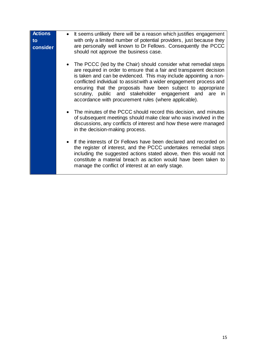| <b>Actions</b><br>to<br>consider | It seems unlikely there will be a reason which justifies engagement<br>$\bullet$<br>with only a limited number of potential providers, just because they<br>are personally well known to Dr Fellows. Consequently the PCCC<br>should not approve the business case.                                                                                                                                                                                                           |
|----------------------------------|-------------------------------------------------------------------------------------------------------------------------------------------------------------------------------------------------------------------------------------------------------------------------------------------------------------------------------------------------------------------------------------------------------------------------------------------------------------------------------|
|                                  | The PCCC (led by the Chair) should consider what remedial steps<br>are required in order to ensure that a fair and transparent decision<br>is taken and can be evidenced. This may include appointing a non-<br>conflicted individual to assist with a wider engagement process and<br>ensuring that the proposals have been subject to appropriate<br>scrutiny, public and stakeholder engagement and<br>are<br>in.<br>accordance with procurement rules (where applicable). |
|                                  | The minutes of the PCCC should record this decision, and minutes<br>$\bullet$<br>of subsequent meetings should make clear who was involved in the<br>discussions, any conflicts of interest and how these were managed<br>in the decision-making process.                                                                                                                                                                                                                     |
|                                  | If the interests of Dr Fellows have been declared and recorded on<br>the register of interest, and the PCCC undertakes remedial steps<br>including the suggested actions stated above, then this would not<br>constitute a material breach as action would have been taken to<br>manage the conflict of interest at an early stage.                                                                                                                                           |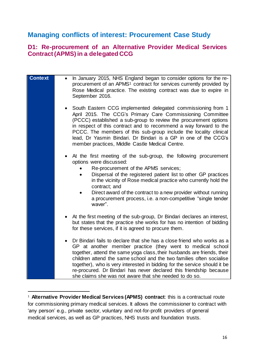## <span id="page-15-1"></span>**Managing conflicts of interest: Procurement Case Study**

#### <span id="page-15-0"></span>**D1: Re-procurement of an Alternative Provider Medical Services Contract (APMS) in a delegated CCG**

| <b>Context</b> | In January 2015, NHS England began to consider options for the re-<br>procurement of an APMS <sup>1</sup> contract for services currently provided by<br>Rose Medical practice. The existing contract was due to expire in<br>September 2016.                                                                                                                                                                                                                                                        |
|----------------|------------------------------------------------------------------------------------------------------------------------------------------------------------------------------------------------------------------------------------------------------------------------------------------------------------------------------------------------------------------------------------------------------------------------------------------------------------------------------------------------------|
|                | South Eastern CCG implemented delegated commissioning from 1<br>April 2015. The CCG's Primary Care Commissioning Committee<br>(PCCC) established a sub-group to review the procurement options<br>in respect of this contract and to recommend a way forward to the<br>PCCC. The members of this sub-group include the locality clinical<br>lead, Dr Yasmin Bindari. Dr Bindari is a GP in one of the CCG's<br>member practices, Middle Castle Medical Centre.                                       |
|                | At the first meeting of the sub-group, the following procurement<br>options were discussed:<br>Re-procurement of the APMS services;<br>Dispersal of the registered patient list to other GP practices<br>in the vicinity of Rose medical practice who currently hold the<br>contract; and<br>Direct award of the contract to a new provider without running<br>a procurement process, i.e. a non-competitive "single tender<br>waver".                                                               |
|                | At the first meeting of the sub-group, Dr Bindari declares an interest,<br>but states that the practice she works for has no intention of bidding<br>for these services, if it is agreed to procure them.                                                                                                                                                                                                                                                                                            |
|                | Dr Bindari fails to declare that she has a close friend who works as a<br>GP at another member practice (they went to medical school<br>together, attend the same yoga class, their husbands are friends, their<br>children attend the same school and the two families often socialise<br>together), who is very interested in bidding for the service should it be<br>re-procured. Dr Bindari has never declared this friendship because<br>she claims she was not aware that she needed to do so. |

1

<sup>&</sup>lt;sup>1</sup> Alternative Provider Medical Services (APMS) contract: this is a contractual route for commissioning primary medical services. It allows the commissioner to contract with 'any person' e.g., private sector, voluntary and not-for-profit providers of general medical services, as well as GP practices, NHS trusts and foundation trusts.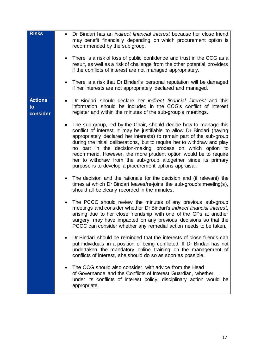<span id="page-16-0"></span>

| <b>Risks</b>                     | Dr Bindari has an <i>indirect financial interest</i> because her close friend<br>$\bullet$<br>may benefit financially depending on which procurement option is<br>recommended by the sub group.<br>There is a risk of loss of public confidence and trust in the CCG as a<br>result, as well as a risk of challenge from the other potential providers<br>if the conflicts of interest are not managed appropriately.<br>There is a risk that Dr Bindari's personal reputation will be damaged<br>$\bullet$<br>if her interests are not appropriately declared and managed. |
|----------------------------------|-----------------------------------------------------------------------------------------------------------------------------------------------------------------------------------------------------------------------------------------------------------------------------------------------------------------------------------------------------------------------------------------------------------------------------------------------------------------------------------------------------------------------------------------------------------------------------|
| <b>Actions</b><br>to<br>consider | Dr Bindari should declare her <i>indirect financial interest</i> and this<br>$\bullet$<br>information should be included in the CCG's conflict of interest<br>register and within the minutes of the sub-group's meetings.                                                                                                                                                                                                                                                                                                                                                  |
|                                  | The sub-group, led by the Chair, should decide how to manage this<br>conflict of interest. It may be justifiable to allow Dr Bindari (having<br>appropriately declared her interests) to remain part of the sub-group<br>during the initial deliberations, but to require her to withdraw and play<br>no part in the decision-making process on which option to<br>recommend. However, the more prudent option would be to require<br>her to withdraw from the sub-group altogether since its primary<br>purpose is to develop a procurement options appraisal.             |
|                                  | The decision and the rationale for the decision and (if relevant) the<br>times at which Dr Bindari leaves/re-joins the sub-group's meeting(s),<br>should all be clearly recorded in the minutes.                                                                                                                                                                                                                                                                                                                                                                            |
|                                  | The PCCC should review the minutes of any previous sub-group<br>meetings and consider whether Dr Bindari's indirect financial interest,<br>arising due to her close friendship with one of the GPs at another<br>surgery, may have impacted on any previous decisions so that the<br>PCCC can consider whether any remedial action needs to be taken.                                                                                                                                                                                                                       |
|                                  | Dr Bindari should be reminded that the interests of close friends can<br>put individuals in a position of being conflicted. If Dr Bindari has not<br>undertaken the mandatory online training on the management of<br>conflicts of interest, she should do so as soon as possible.                                                                                                                                                                                                                                                                                          |
|                                  | The CCG should also consider, with advice from the Head<br>of Governance and the Conflicts of Interest Guardian, whether,<br>under its conflicts of interest policy, disciplinary action would be<br>appropriate.                                                                                                                                                                                                                                                                                                                                                           |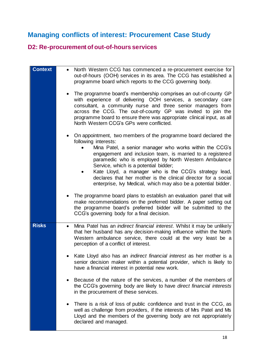# **Managing conflicts of interest: Procurement Case Study**

# <span id="page-17-0"></span>**D2: Re-procurement of out-of-hours services**

| <b>Context</b> | North Western CCG has commenced a re-procurement exercise for<br>out-of-hours (OOH) services in its area. The CCG has established a<br>programme board which reports to the CCG governing body.<br>The programme board's membership comprises an out-of-county GP<br>with experience of delivering OOH services, a secondary care<br>consultant, a community nurse and three senior managers from<br>across the CCG. The out-of-county GP was invited to join the<br>programme board to ensure there was appropriate clinical input, as all<br>North Western CCG's GPs were conflicted. |
|----------------|-----------------------------------------------------------------------------------------------------------------------------------------------------------------------------------------------------------------------------------------------------------------------------------------------------------------------------------------------------------------------------------------------------------------------------------------------------------------------------------------------------------------------------------------------------------------------------------------|
|                | On appointment, two members of the programme board declared the<br>following interests:<br>Mina Patel, a senior manager who works within the CCG's<br>engagement and inclusion team, is married to a registered<br>paramedic who is employed by North Western Ambulance<br>Service, which is a potential bidder;<br>Kate Lloyd, a manager who is the CCG's strategy lead,<br>declares that her mother is the clinical director for a social<br>enterprise, Ivy Medical, which may also be a potential bidder.                                                                           |
|                | The programme board plans to establish an evaluation panel that will<br>make recommendations on the preferred bidder. A paper setting out<br>the programme board's preferred bidder will be submitted to the<br>CCG's governing body for a final decision.                                                                                                                                                                                                                                                                                                                              |
| <b>Risks</b>   | Mina Patel has an <i>indirect financial interest</i> . Whilst it may be unlikely<br>٠<br>that her husband has any decision-making influence within the North<br>Western ambulance service, there could at the very least be a<br>perception of a conflict of interest.                                                                                                                                                                                                                                                                                                                  |
|                | Kate Lloyd also has an <i>indirect financial interest</i> as her mother is a<br>senior decision maker within a potential provider, which is likely to<br>have a financial interest in potential new work.                                                                                                                                                                                                                                                                                                                                                                               |
|                | Because of the nature of the services, a number of the members of<br>the CCG's governing body are likely to have direct financial interests<br>in the procurement of these services.                                                                                                                                                                                                                                                                                                                                                                                                    |
|                | There is a risk of loss of public confidence and trust in the CCG, as<br>well as challenge from providers, if the interests of Mrs Patel and Ms<br>Lloyd and the members of the governing body are not appropriately<br>declared and managed.                                                                                                                                                                                                                                                                                                                                           |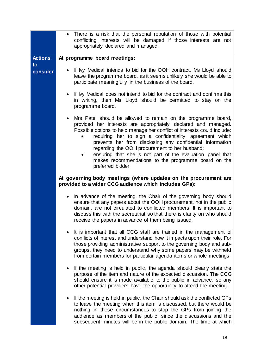|                | There is a risk that the personal reputation of those with potential<br>$\bullet$<br>conflicting interests will be damaged if those interests are not<br>appropriately declared and managed.                                                                                                                                                                                                                                                                                                                                                |
|----------------|---------------------------------------------------------------------------------------------------------------------------------------------------------------------------------------------------------------------------------------------------------------------------------------------------------------------------------------------------------------------------------------------------------------------------------------------------------------------------------------------------------------------------------------------|
| <b>Actions</b> | At programme board meetings:                                                                                                                                                                                                                                                                                                                                                                                                                                                                                                                |
| to             |                                                                                                                                                                                                                                                                                                                                                                                                                                                                                                                                             |
| consider       | If My Medical intends to bid for the OOH contract, Ms Lloyd should<br>leave the programme board, as it seems unlikely she would be able to<br>participate meaningfully in the business of the board.                                                                                                                                                                                                                                                                                                                                        |
|                | If My Medical does not intend to bid for the contract and confirms this<br>$\bullet$<br>in writing, then Ms Lloyd should be permitted to stay on the<br>programme board.                                                                                                                                                                                                                                                                                                                                                                    |
|                | Mrs Patel should be allowed to remain on the programme board,<br>$\bullet$<br>provided her interests are appropriately declared and managed.<br>Possible options to help manage her conflict of interests could include:<br>requiring her to sign a confidentiality agreement which<br>prevents her from disclosing any confidential information<br>regarding the OOH procurement to her husband;<br>ensuring that she is not part of the evaluation panel that<br>makes recommendations to the programme board on the<br>preferred bidder. |
|                | At governing body meetings (where updates on the procurement are<br>provided to a wider CCG audience which includes GPs):                                                                                                                                                                                                                                                                                                                                                                                                                   |
|                | In advance of the meeting, the Chair of the governing body should<br>$\bullet$<br>ensure that any papers about the OOH procurement, not in the public<br>domain, are not circulated to conflicted members. It is important to<br>discuss this with the secretariat so that there is clarity on who should<br>receive the papers in advance of them being issued.                                                                                                                                                                            |
|                | It is important that all CCG staff are trained in the management of<br>conflicts of interest and understand how it impacts upon their role. For<br>those providing administrative support to the governing body and sub-<br>groups, they need to understand why some papers may be withheld<br>from certain members for particular agenda items or whole meetings.                                                                                                                                                                          |
|                | If the meeting is held in public, the agenda should clearly state the<br>purpose of the item and nature of the expected discussion. The CCG<br>should ensure it is made available to the public in advance, so any<br>other potential providers have the opportunity to attend the meeting.                                                                                                                                                                                                                                                 |
|                | If the meeting is held in public, the Chair should ask the conflicted GPs<br>$\bullet$<br>to leave the meeting when this item is discussed, but there would be<br>nothing in these circumstances to stop the GPs from joining the<br>audience as members of the public, since the discussions and the<br>subsequent minutes will be in the public domain. The time at which                                                                                                                                                                 |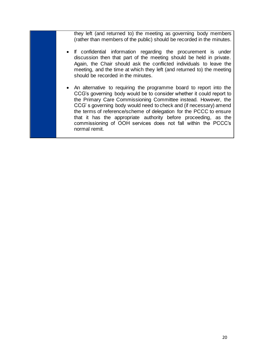they left (and returned to) the meeting as governing body members (rather than members of the public) should be recorded in the minutes.

- If confidential information regarding the procurement is under discussion then that part of the meeting should be held in private. Again, the Chair should ask the conflicted individuals to leave the meeting, and the time at which they left (and returned to) the meeting should be recorded in the minutes.
- An alternative to requiring the programme board to report into the CCG's governing body would be to consider whether it could report to the Primary Care Commissioning Committee instead. However, the CCG' s governing body would need to check and (if necessary) amend the terms of reference/scheme of delegation for the PCCC to ensure that it has the appropriate authority before proceeding, as the commissioning of OOH services does not fall within the PCCC's normal remit.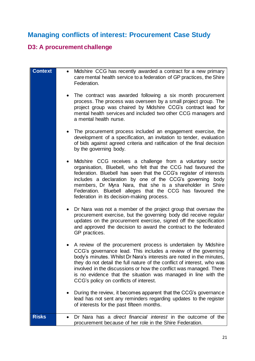# <span id="page-20-1"></span>**Managing conflicts of interest: Procurement Case Study**

# <span id="page-20-0"></span>**D3: A procurement challenge**

| <b>Context</b> | Midshire CCG has recently awarded a contract for a new primary<br>$\bullet$<br>care mental health service to a federation of GP practices, the Shire<br>Federation.                                                                                                                                                                                                                                                                                                               |
|----------------|-----------------------------------------------------------------------------------------------------------------------------------------------------------------------------------------------------------------------------------------------------------------------------------------------------------------------------------------------------------------------------------------------------------------------------------------------------------------------------------|
|                | The contract was awarded following a six month procurement<br>$\bullet$<br>process. The process was overseen by a small project group. The<br>project group was chaired by Midshire CCG's contract lead for<br>mental health services and included two other CCG managers and<br>a mental health nurse.                                                                                                                                                                           |
|                | The procurement process included an engagement exercise, the<br>development of a specification, an invitation to tender, evaluation<br>of bids against agreed criteria and ratification of the final decision<br>by the governing body.                                                                                                                                                                                                                                           |
|                | Midshire CCG receives a challenge from a voluntary sector<br>$\bullet$<br>organisation, Bluebell, who felt that the CCG had favoured the<br>federation. Bluebell has seen that the CCG's register of interests<br>includes a declaration by one of the CCG's governing<br>body<br>members, Dr Myra Nara, that she is a shareholder in Shire<br>Federation. Bluebell alleges that the CCG has favoured the<br>federation in its decision-making process.                           |
|                | Dr Nara was not a member of the project group that oversaw the<br>$\bullet$<br>procurement exercise, but the governing body did receive regular<br>updates on the procurement exercise, signed off the specification<br>and approved the decision to award the contract to the federated<br>GP practices.                                                                                                                                                                         |
|                | A review of the procurement process is undertaken by Midshire<br>$\bullet$<br>CCG's governance lead. This includes a review of the governing<br>body's minutes. Whilst Dr Nara's interests are noted in the minutes,<br>they do not detail the full nature of the conflict of interest, who was<br>involved in the discussions or how the conflict was managed. There<br>is no evidence that the situation was managed in line with the<br>CCG's policy on conflicts of interest. |
|                | During the review, it becomes apparent that the CCG's governance<br>lead has not sent any reminders regarding updates to the register<br>of interests for the past fifteen months.                                                                                                                                                                                                                                                                                                |
| <b>Risks</b>   | Dr Nara has a direct financial interest in the outcome of the<br>$\bullet$<br>procurement because of her role in the Shire Federation.                                                                                                                                                                                                                                                                                                                                            |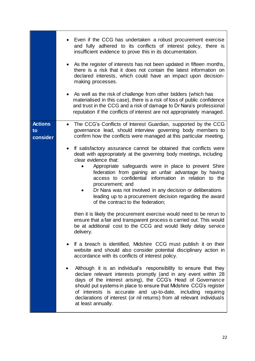|                      | Even if the CCG has undertaken a robust procurement exercise<br>and fully adhered to its conflicts of interest policy, there is<br>insufficient evidence to prove this in its documentation.<br>As the register of interests has not been updated in fifteen months,<br>there is a risk that it does not contain the latest information on<br>declared interests, which could have an impact upon decision-<br>making processes.<br>As well as the risk of challenge from other bidders (which has<br>$\bullet$<br>materialised in this case), there is a risk of loss of public confidence<br>and trust in the CCG and a risk of damage to Dr Nara's professional<br>reputation if the conflicts of interest are not appropriately managed.                                                                                        |
|----------------------|-------------------------------------------------------------------------------------------------------------------------------------------------------------------------------------------------------------------------------------------------------------------------------------------------------------------------------------------------------------------------------------------------------------------------------------------------------------------------------------------------------------------------------------------------------------------------------------------------------------------------------------------------------------------------------------------------------------------------------------------------------------------------------------------------------------------------------------|
| <b>Actions</b><br>to | The CCG's Conflicts of Interest Guardian, supported by the CCG<br>$\bullet$<br>governance lead, should interview governing body members to                                                                                                                                                                                                                                                                                                                                                                                                                                                                                                                                                                                                                                                                                          |
| consider             | confirm how the conflicts were managed at this particular meeting.<br>If satisfactory assurance cannot be obtained that conflicts were<br>dealt with appropriately at the governing body meetings, including<br>clear evidence that:<br>Appropriate safeguards were in place to prevent Shire<br>federation from gaining an unfair advantage by having<br>access to confidential information in relation to the<br>procurement; and<br>Dr Nara was not involved in any decision or deliberations<br>leading up to a procurement decision regarding the award<br>of the contract to the federation;<br>then it is likely the procurement exercise would need to be rerun to<br>ensure that a fair and transparent process is carried out. This would<br>be at additional cost to the CCG and would likely delay service<br>delivery. |
|                      | If a breach is identified, Midshire CCG must publish it on their<br>website and should also consider potential disciplinary action in<br>accordance with its conflicts of interest policy.                                                                                                                                                                                                                                                                                                                                                                                                                                                                                                                                                                                                                                          |
|                      | Although it is an individual's responsibility to ensure that they<br>declare relevant interests promptly (and in any event within 28<br>days of the interest arising), the CCG's Head of Governance<br>should put systems in place to ensure that Midshire CCG's register<br>of interests is accurate and up-to-date, including requiring<br>declarations of interest (or nil returns) from all relevant individuals<br>at least annually.                                                                                                                                                                                                                                                                                                                                                                                          |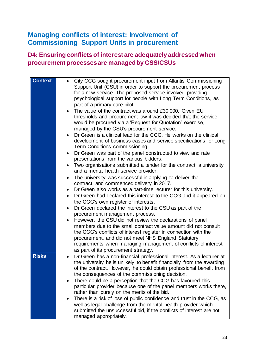## <span id="page-22-1"></span>**Managing conflicts of interest: Involvement of Commissioning Support Units in procurement**

#### <span id="page-22-0"></span>**D4: Ensuring conflicts of interest are adequately addressed when procurement processes are managed by CSS/CSUs**

| <b>Context</b> | City CCG sought procurement input from Atlantis Commissioning<br>Support Unit (CSU) in order to support the procurement process<br>for a new service. The proposed service involved providing<br>psychological support for people with Long Term Conditions, as<br>part of a primary care pilot.<br>The value of the contract was around £30,000. Given EU<br>$\bullet$<br>thresholds and procurement law it was decided that the service<br>would be procured via a 'Request for Quotation' exercise,<br>managed by the CSU's procurement service.<br>Dr Green is a clinical lead for the CCG. He works on the clinical<br>development of business cases and service specifications for Long<br>Term Conditions commissioning.<br>Dr Green was part of the panel constructed to view and rate<br>presentations from the various bidders.<br>Two organisations submitted a tender for the contract; a university<br>٠<br>and a mental health service provider.<br>The university was successful in applying to deliver the<br>$\bullet$<br>contract, and commenced delivery in 2017.<br>Dr Green also works as a part-time lecturer for this university.<br>$\bullet$<br>Dr Green had declared this interest to the CCG and it appeared on<br>$\bullet$<br>the CCG's own register of interests.<br>Dr Green declared the interest to the CSU as part of the<br>$\bullet$<br>procurement management process.<br>However, the CSU did not review the declarations of panel<br>members due to the small contract value amount did not consult<br>the CCG's conflicts of interest register in connection with the<br>procurement, and did not meet NHS England Statutory<br>requirements when managing management of conflicts of interest<br>as part of its procurement strategy. |
|----------------|--------------------------------------------------------------------------------------------------------------------------------------------------------------------------------------------------------------------------------------------------------------------------------------------------------------------------------------------------------------------------------------------------------------------------------------------------------------------------------------------------------------------------------------------------------------------------------------------------------------------------------------------------------------------------------------------------------------------------------------------------------------------------------------------------------------------------------------------------------------------------------------------------------------------------------------------------------------------------------------------------------------------------------------------------------------------------------------------------------------------------------------------------------------------------------------------------------------------------------------------------------------------------------------------------------------------------------------------------------------------------------------------------------------------------------------------------------------------------------------------------------------------------------------------------------------------------------------------------------------------------------------------------------------------------------------------------------------------------------------------------------------------------------|
| <b>Risks</b>   | Dr Green has a non-financial professional interest. As a lecturer at                                                                                                                                                                                                                                                                                                                                                                                                                                                                                                                                                                                                                                                                                                                                                                                                                                                                                                                                                                                                                                                                                                                                                                                                                                                                                                                                                                                                                                                                                                                                                                                                                                                                                                           |
|                | the university he is unlikely to benefit financially from the awarding<br>of the contract. However, he could obtain professional benefit from<br>the consequences of the commissioning decision.                                                                                                                                                                                                                                                                                                                                                                                                                                                                                                                                                                                                                                                                                                                                                                                                                                                                                                                                                                                                                                                                                                                                                                                                                                                                                                                                                                                                                                                                                                                                                                               |
|                | There could be a perception that the CCG has favoured this                                                                                                                                                                                                                                                                                                                                                                                                                                                                                                                                                                                                                                                                                                                                                                                                                                                                                                                                                                                                                                                                                                                                                                                                                                                                                                                                                                                                                                                                                                                                                                                                                                                                                                                     |
|                | particular provider because one of the panel members works there,<br>rather than purely on the merits of the bid.                                                                                                                                                                                                                                                                                                                                                                                                                                                                                                                                                                                                                                                                                                                                                                                                                                                                                                                                                                                                                                                                                                                                                                                                                                                                                                                                                                                                                                                                                                                                                                                                                                                              |
|                | There is a risk of loss of public confidence and trust in the CCG, as                                                                                                                                                                                                                                                                                                                                                                                                                                                                                                                                                                                                                                                                                                                                                                                                                                                                                                                                                                                                                                                                                                                                                                                                                                                                                                                                                                                                                                                                                                                                                                                                                                                                                                          |
|                | well as legal challenge from the mental health provider which                                                                                                                                                                                                                                                                                                                                                                                                                                                                                                                                                                                                                                                                                                                                                                                                                                                                                                                                                                                                                                                                                                                                                                                                                                                                                                                                                                                                                                                                                                                                                                                                                                                                                                                  |
|                | submitted the unsuccessful bid, if the conflicts of interest are not<br>managed appropriately.                                                                                                                                                                                                                                                                                                                                                                                                                                                                                                                                                                                                                                                                                                                                                                                                                                                                                                                                                                                                                                                                                                                                                                                                                                                                                                                                                                                                                                                                                                                                                                                                                                                                                 |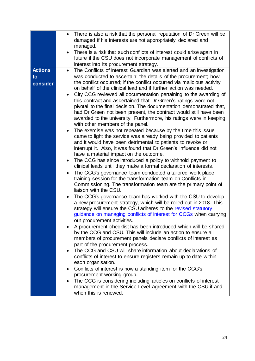|                | There is also a risk that the personal reputation of Dr Green will be                                                                           |
|----------------|-------------------------------------------------------------------------------------------------------------------------------------------------|
|                | damaged if his interests are not appropriately declared and                                                                                     |
|                | managed.                                                                                                                                        |
|                | There is a risk that such conflicts of interest could arise again in                                                                            |
|                | future if the CSU does not incorporate management of conflicts of                                                                               |
|                | interest into its procurement strategy.                                                                                                         |
| <b>Actions</b> | The Conflicts of Interest Guardian was alerted and an investigation<br>$\bullet$                                                                |
| to             | was conducted to ascertain: the details of the procurement; how                                                                                 |
| consider       | the conflict occurred; if the conflict occurred via malicious activity                                                                          |
|                | on behalf of the clinical lead and if further action was needed.                                                                                |
|                | City CCG reviewed all documentation pertaining to the awarding of                                                                               |
|                | this contract and ascertained that Dr Green's ratings were not                                                                                  |
|                | pivotal to the final decision. The documentation demonstrated that,                                                                             |
|                | had Dr Green not been present, the contract would still have been                                                                               |
|                | awarded to the university. Furthermore, his ratings were in keeping                                                                             |
|                | with other members of the panel.                                                                                                                |
|                | The exercise was not repeated because by the time this issue                                                                                    |
|                | came to light the service was already being provided to patients                                                                                |
|                | and it would have been detrimental to patients to revoke or                                                                                     |
|                | interrupt it. Also, it was found that Dr Green's influence did not                                                                              |
|                | have a material impact on the outcome.                                                                                                          |
|                | The CCG has since introduced a policy to withhold payment to<br>$\bullet$                                                                       |
|                | clinical leads until they make a formal declaration of interests.                                                                               |
|                | The CCG's governance team conducted a tailored work place                                                                                       |
|                | training session for the transformation team on Conflicts in<br>Commissioning. The transformation team are the primary point of                 |
|                | liaison with the CSU.                                                                                                                           |
|                |                                                                                                                                                 |
|                | The CCG's governance team has worked with the CSU to develop<br>$\bullet$<br>a new procurement strategy, which will be rolled out in 2018. This |
|                | strategy will ensure the CSU adheres to the revised statutory                                                                                   |
|                | guidance on managing conflicts of interest for CCGs when carrying                                                                               |
|                | out procurement activities.                                                                                                                     |
|                | A procurement checklist has been introduced which will be shared                                                                                |
|                | by the CCG and CSU. This will include an action to ensure all                                                                                   |
|                | members of procurement panels declare conflicts of interest as                                                                                  |
|                | part of the procurement process.                                                                                                                |
|                | The CCG and CSU will share information about declarations of                                                                                    |
|                | conflicts of interest to ensure registers remain up to date within                                                                              |
|                | each organisation.                                                                                                                              |
|                | Conflicts of interest is now a standing item for the CCG's<br>$\bullet$                                                                         |
|                | procurement working group.                                                                                                                      |
|                | The CCG is considering including articles on conflicts of interest                                                                              |
|                | management in the Service Level Agreement with the CSU if and                                                                                   |
|                | when this is renewed.                                                                                                                           |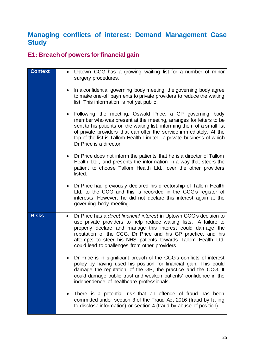# <span id="page-24-1"></span>**Managing conflicts of interest: Demand Management Case Study**

## <span id="page-24-0"></span>**E1: Breach of powers for financial gain**

| <b>Context</b> | • Uptown CCG has a growing waiting list for a number of minor<br>surgery procedures.                                                                                                                                                                                                                                                                                                                   |
|----------------|--------------------------------------------------------------------------------------------------------------------------------------------------------------------------------------------------------------------------------------------------------------------------------------------------------------------------------------------------------------------------------------------------------|
|                | In a confidential governing body meeting, the governing body agree<br>$\bullet$<br>to make one-off payments to private providers to reduce the waiting<br>list. This information is not yet public.                                                                                                                                                                                                    |
|                | Following the meeting, Oswald Price, a GP governing body<br>$\bullet$<br>member who was present at the meeting, arranges for letters to be<br>sent to his patients on the waiting list, informing them of a small list<br>of private providers that can offer the service immediately. At the<br>top of the list is Tallom Health Limited, a private business of which<br>Dr Price is a director.      |
|                | • Dr Price does not inform the patients that he is a director of Tallom<br>Health Ltd., and presents the information in a way that steers the<br>patient to choose Tallom Health Ltd., over the other providers<br>listed.                                                                                                                                                                             |
|                | Dr Price had previously declared his directorship of Tallom Health<br>Ltd. to the CCG and this is recorded in the CCG's register of<br>interests. However, he did not declare this interest again at the<br>governing body meeting.                                                                                                                                                                    |
| <b>Risks</b>   | Dr Price has a direct financial interest in Uptown CCG's decision to<br>$\bullet$<br>use private providers to help reduce waiting lists. A failure to<br>properly declare and manage this interest could damage the<br>reputation of the CCG, Dr Price and his GP practice, and his<br>attempts to steer his NHS patients towards Tallom Health Ltd.<br>could lead to challenges from other providers. |
|                | Dr Price is in significant breach of the CCG's conflicts of interest<br>policy by having used his position for financial gain. This could<br>damage the reputation of the GP, the practice and the CCG. It<br>could damage public trust and weaken patients' confidence in the<br>independence of healthcare professionals.                                                                            |
|                | There is a potential risk that an offence of fraud has been<br>committed under section 3 of the Fraud Act 2016 (fraud by failing<br>to disclose information) or section 4 (fraud by abuse of position).                                                                                                                                                                                                |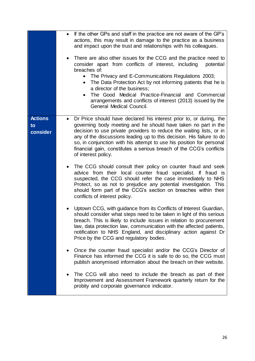|                                  | If the other GPs and staff in the practice are not aware of the GP's<br>actions, this may result in damage to the practice as a business<br>and impact upon the trust and relationships with his colleagues.<br>There are also other issues for the CCG and the practice need to<br>consider apart from conflicts of interest, including<br>potential<br>breaches of:<br>The Privacy and E-Communications Regulations 2003;<br>$\bullet$<br>The Data Protection Act by not informing patients that he is<br>$\bullet$<br>a director of the business;<br>The Good Medical Practice-Financial and Commercial<br>$\bullet$<br>arrangements and conflicts of interest (2013) issued by the<br>General Medical Council.                                                                                                                                                                                                                                                                                                                                                                                                                                                                                                                                                                                                                                                                                                                                                                                                                                                                                                                                     |
|----------------------------------|--------------------------------------------------------------------------------------------------------------------------------------------------------------------------------------------------------------------------------------------------------------------------------------------------------------------------------------------------------------------------------------------------------------------------------------------------------------------------------------------------------------------------------------------------------------------------------------------------------------------------------------------------------------------------------------------------------------------------------------------------------------------------------------------------------------------------------------------------------------------------------------------------------------------------------------------------------------------------------------------------------------------------------------------------------------------------------------------------------------------------------------------------------------------------------------------------------------------------------------------------------------------------------------------------------------------------------------------------------------------------------------------------------------------------------------------------------------------------------------------------------------------------------------------------------------------------------------------------------------------------------------------------------|
| <b>Actions</b><br>to<br>consider | Dr Price should have declared his interest prior to, or during, the<br>$\bullet$<br>governing body meeting and he should have taken no part in the<br>decision to use private providers to reduce the waiting lists, or in<br>any of the discussions leading up to this decision. His failure to do<br>so, in conjunction with his attempt to use his position for personal<br>financial gain, constitutes a serious breach of the CCG's conflicts<br>of interest policy.<br>The CCG should consult their policy on counter fraud and seek<br>advice from their local counter fraud specialist. If fraud is<br>suspected, the CCG should refer the case immediately to NHS<br>Protect, so as not to prejudice any potential investigation. This<br>should form part of the CCG's section on breaches within their<br>conflicts of interest policy.<br>Uptown CCG, with guidance from its Conflicts of Interest Guardian,<br>should consider what steps need to be taken in light of this serious<br>breach. This is likely to include issues in relation to procurement<br>law, data protection law, communication with the affected patients,<br>notification to NHS England, and disciplinary action against Dr<br>Price by the CCG and regulatory bodies.<br>Once the counter fraud specialist and/or the CCG's Director of<br>Finance has informed the CCG it is safe to do so, the CCG must<br>publish anonymised information about the breach on their website.<br>The CCG will also need to include the breach as part of their<br>Improvement and Assessment Framework quarterly return for the<br>probity and corporate governance indicator. |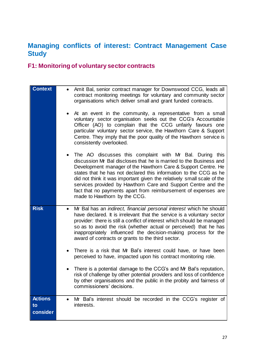# <span id="page-26-1"></span>**Managing conflicts of interest: Contract Management Case Study**

# <span id="page-26-0"></span>**F1: Monitoring of voluntary sector contracts**

| <b>Context</b>                   | Amit Bal, senior contract manager for Downswood CCG, leads all<br>$\bullet$<br>contract monitoring meetings for voluntary and community sector<br>organisations which deliver small and grant funded contracts.<br>At an event in the community, a representative from a small<br>voluntary sector organisation seeks out the CCG's Accountable<br>Officer (AO) to complain that the CCG unfairly favours one<br>particular voluntary sector service, the Hawthorn Care & Support<br>Centre. They imply that the poor quality of the Hawthorn service is<br>consistently overlooked.<br>The AO discusses this complaint with Mr Bal. During this<br>$\bullet$<br>discussion Mr Bal discloses that he is married to the Business and |
|----------------------------------|-------------------------------------------------------------------------------------------------------------------------------------------------------------------------------------------------------------------------------------------------------------------------------------------------------------------------------------------------------------------------------------------------------------------------------------------------------------------------------------------------------------------------------------------------------------------------------------------------------------------------------------------------------------------------------------------------------------------------------------|
|                                  | Development manager of the Hawthorn Care & Support Centre. He<br>states that he has not declared this information to the CCG as he<br>did not think it was important given the relatively small scale of the<br>services provided by Hawthorn Care and Support Centre and the<br>fact that no payments apart from reimbursement of expenses are<br>made to Hawthorn by the CCG.                                                                                                                                                                                                                                                                                                                                                     |
| <b>Risk</b>                      | Mr Bal has an <i>indirect</i> , <i>financial personal interest</i> which he should<br>$\bullet$<br>have declared. It is irrelevant that the service is a voluntary sector<br>provider: there is still a conflict of interest which should be managed<br>so as to avoid the risk (whether actual or perceived) that he has<br>inappropriately influenced the decision-making process for the<br>award of contracts or grants to the third sector.                                                                                                                                                                                                                                                                                    |
|                                  | There is a risk that Mr Bal's interest could have, or have been<br>$\bullet$<br>perceived to have, impacted upon his contract monitoring role.                                                                                                                                                                                                                                                                                                                                                                                                                                                                                                                                                                                      |
|                                  | There is a potential damage to the CCG's and Mr Bal's reputation,<br>risk of challenge by other potential providers and loss of confidence<br>by other organisations and the public in the probity and fairness of<br>commissioners' decisions.                                                                                                                                                                                                                                                                                                                                                                                                                                                                                     |
| <b>Actions</b><br>to<br>consider | Mr Bal's interest should be recorded in the CCG's register of<br>$\bullet$<br>interests.                                                                                                                                                                                                                                                                                                                                                                                                                                                                                                                                                                                                                                            |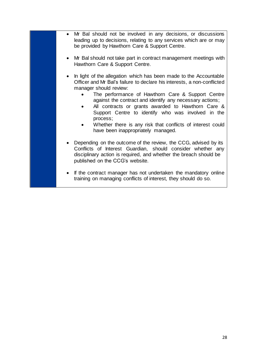- Mr Bal should not be involved in any decisions, or discussions leading up to decisions, relating to any services which are or may be provided by Hawthorn Care & Support Centre.
- Mr Bal should not take part in contract management meetings with Hawthorn Care & Support Centre.
- In light of the allegation which has been made to the Accountable Officer and Mr Bal's failure to declare his interests, a non-conflicted manager should review:
	- The performance of Hawthorn Care & Support Centre against the contract and identify any necessary actions;
	- All contracts or grants awarded to Hawthorn Care & Support Centre to identify who was involved in the process;
	- Whether there is any risk that conflicts of interest could have been inappropriately managed.
- Depending on the outcome of the review, the CCG, advised by its Conflicts of Interest Guardian, should consider whether any disciplinary action is required, and whether the breach should be published on the CCG's website.
- If the contract manager has not undertaken the mandatory online training on managing conflicts of interest, they should do so.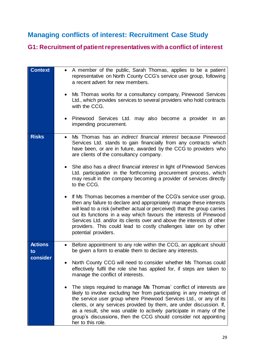# <span id="page-28-1"></span>**Managing conflicts of interest: Recruitment Case Study**

# <span id="page-28-0"></span>**G1: Recruitment of patient representatives with a conflict of interest**

| <b>Context</b>                   | A member of the public, Sarah Thomas, applies to be a patient<br>representative on North County CCG's service user group, following<br>a recent advert for new members.<br>Ms Thomas works for a consultancy company, Pinewood Services<br>Ltd., which provides services to several providers who hold contracts<br>with the CCG.<br>Pinewood Services Ltd. may also become a provider in an<br>impending procurement.                                                                                                                                                                                                                                                                                                                                                                                                                                                                                                                                                |
|----------------------------------|-----------------------------------------------------------------------------------------------------------------------------------------------------------------------------------------------------------------------------------------------------------------------------------------------------------------------------------------------------------------------------------------------------------------------------------------------------------------------------------------------------------------------------------------------------------------------------------------------------------------------------------------------------------------------------------------------------------------------------------------------------------------------------------------------------------------------------------------------------------------------------------------------------------------------------------------------------------------------|
| <b>Risks</b>                     | Ms Thomas has an <i>indirect financial interest</i> because Pinewood<br>Services Ltd. stands to gain financially from any contracts which<br>have been, or are in future, awarded by the CCG to providers who<br>are clients of the consultancy company.<br>She also has a <i>direct financial interest</i> in light of Pinewood Services<br>Ltd. participation in the forthcoming procurement process, which<br>may result in the company becoming a provider of services directly<br>to the CCG.<br>If Ms Thomas becomes a member of the CCG's service user group,<br>then any failure to declare and appropriately manage these interests<br>will lead to a risk (whether actual or perceived) that the group carries<br>out its functions in a way which favours the interests of Pinewood<br>Services Ltd. and/or its clients over and above the interests of other<br>providers. This could lead to costly challenges later on by other<br>potential providers. |
| <b>Actions</b><br>to<br>consider | Before appointment to any role within the CCG, an applicant should<br>be given a form to enable them to declare any interests.<br>North County CCG will need to consider whether Ms Thomas could<br>effectively fulfil the role she has applied for, if steps are taken to<br>manage the conflict of interests.<br>The steps required to manage Ms Thomas' conflict of interests are<br>likely to involve excluding her from participating in any meetings of<br>the service user group where Pinewood Services Ltd., or any of its<br>clients, or any services provided by them, are under discussion. If,<br>as a result, she was unable to actively participate in many of the<br>group's discussions, then the CCG should consider not appointing<br>her to this role.                                                                                                                                                                                            |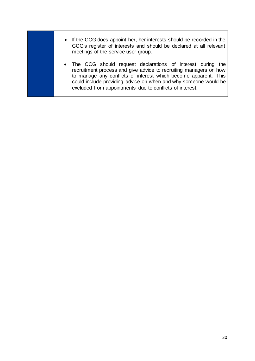- If the CCG does appoint her, her interests should be recorded in the CCG's register of interests and should be declared at all relevant meetings of the service user group.
- The CCG should request declarations of interest during the recruitment process and give advice to recruiting managers on how to manage any conflicts of interest which become apparent. This could include providing advice on when and why someone would be excluded from appointments due to conflicts of interest.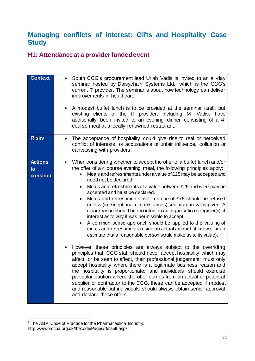## <span id="page-30-1"></span>**Managing conflicts of interest: Gifts and Hospitality Case Study**

#### <span id="page-30-0"></span>**H1: Attendance at a provider funded event**

| <b>Context</b>                   | South CCG's procurement lead Uriah Vadis is invited to an all-day<br>seminar hosted by Daisychain Systems Ltd., which is the CCG's<br>current IT provider. The seminar is about how technology can deliver<br>improvements in healthcare.<br>A modest buffet lunch is to be provided at the seminar itself, but<br>existing clients of the IT provider, including Mr Vadis, have<br>additionally been invited to an evening dinner consisting of a 4-<br>course meal at a locally renowned restaurant.                                                                                                                                                                                                                                                                                                                                                                                                                                                                                                                                                                                                                                                                                                                                                                                                                                                                                                                                                                                   |
|----------------------------------|------------------------------------------------------------------------------------------------------------------------------------------------------------------------------------------------------------------------------------------------------------------------------------------------------------------------------------------------------------------------------------------------------------------------------------------------------------------------------------------------------------------------------------------------------------------------------------------------------------------------------------------------------------------------------------------------------------------------------------------------------------------------------------------------------------------------------------------------------------------------------------------------------------------------------------------------------------------------------------------------------------------------------------------------------------------------------------------------------------------------------------------------------------------------------------------------------------------------------------------------------------------------------------------------------------------------------------------------------------------------------------------------------------------------------------------------------------------------------------------|
| <b>Risks</b>                     | The acceptance of hospitality could give rise to real or perceived<br>conflict of interests, or accusations of unfair influence, collusion or<br>canvassing with providers.                                                                                                                                                                                                                                                                                                                                                                                                                                                                                                                                                                                                                                                                                                                                                                                                                                                                                                                                                                                                                                                                                                                                                                                                                                                                                                              |
| <b>Actions</b><br>to<br>consider | When considering whether to accept the offer of a buffet lunch and/or<br>$\bullet$<br>the offer of a 4 course evening meal, the following principles apply:<br>Meals and refreshments under a value of £25 may be accepted and<br>need not be declared.<br>Meals and refreshments of a value between £25 and £75 <sup>2</sup> may be<br>$\bullet$<br>accepted and must be declared.<br>Meals and refreshments over a value of £75 should be refused<br>$\bullet$<br>unless (in exceptional circumstances) senior approval is given. A<br>clear reason should be recorded on an organisation's register(s) of<br>interest as to why it was permissible to accept.<br>A common sense approach should be applied to the valuing of<br>٠<br>meals and refreshments (using an actual amount, if known, or an<br>estimate that a reasonable person would make as to its value).<br>However these principles are always subject to the overriding<br>principles that: CCG staff should never accept hospitality which may<br>affect, or be seen to affect, their professional judgement; must only<br>accept hospitality where there is a legitimate business reason and<br>the hospitality is proportionate; and individuals should exercise<br>particular caution where the offer comes from an actual or potential<br>supplier or contractor to the CCG, these can be accepted if modest<br>and reasonable but individuals should always obtain senior approval<br>and declare these offers. |

<sup>1</sup> <sup>2</sup> The ABPI Code of Practice for the Pharmaceutical Industry: http:www.pmcpa.org.uk/thecode/Pages/default.aspx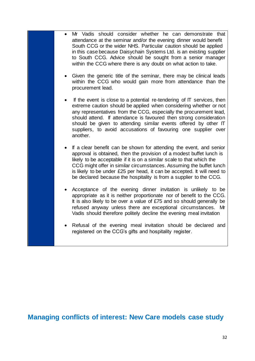Mr Vadis should consider whether he can demonstrate that attendance at the seminar and/or the evening dinner would benefit South CCG or the wider NHS. Particular caution should be applied in this case because Daisychain Systems Ltd. is an existing supplier to South CCG. Advice should be sought from a senior manager within the CCG where there is any doubt on what action to take. Given the generic title of the seminar, there may be clinical leads within the CCG who would gain more from attendance than the procurement lead. If the event is close to a potential re-tendering of  $\Pi$  services, then extreme caution should be applied when considering whether or not any representatives from the CCG, especially the procurement lead, should attend. If attendance is favoured then strong consideration should be given to attending similar events offered by other IT suppliers, to avoid accusations of favouring one supplier over another. If a clear benefit can be shown for attending the event, and senior approval is obtained, then the provision of a modest buffet lunch is likely to be acceptable if it is on a similar scale to that which the CCG might offer in similar circumstances. Assuming the buffet lunch is likely to be under £25 per head, it can be accepted. It will need to be declared because the hospitality is from a supplier to the CCG. • Acceptance of the evening dinner invitation is unlikely to be appropriate as it is neither proportionate nor of benefit to the CCG. It is also likely to be over a value of £75 and so should generally be refused anyway unless there are exceptional circumstances. Mr Vadis should therefore politely decline the evening meal invitation Refusal of the evening meal invitation should be declared and registered on the CCG's gifts and hospitality register.

**Managing conflicts of interest: New Care models case study**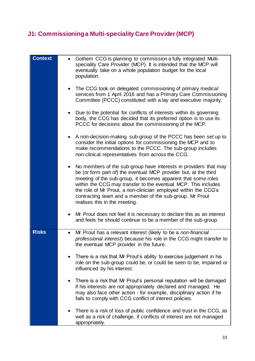# <span id="page-32-0"></span>**J1: Commissioning a Multi-speciality Care Provider (MCP)**

| <b>Context</b> | Gothem CCG is planning to commission a fully integrated Multi-<br>$\bullet$<br>speciality Care Provider (MCP). It is intended that the MCP will<br>eventually take on a whole population budget for the local<br>population.                                                                                                                                                                                                                         |
|----------------|------------------------------------------------------------------------------------------------------------------------------------------------------------------------------------------------------------------------------------------------------------------------------------------------------------------------------------------------------------------------------------------------------------------------------------------------------|
|                | The CCG took on delegated commissioning of primary medical<br>services from 1 April 2016 and has a Primary Care Commissioning<br>Committee (PCCC) constituted with a lay and executive majority.                                                                                                                                                                                                                                                     |
|                | Due to the potential for conflicts of interests within its governing<br>$\bullet$<br>body, the CCG has decided that its preferred option is to use its<br>PCCC for decisions about the commissioning of the MCP.                                                                                                                                                                                                                                     |
|                | A non-decision-making sub-group of the PCCC has been set up to<br>consider the initial options for commissioning the MCP and to<br>make recommendations to the PCCC. The sub-group includes<br>non-clinical representatives from across the CCG.                                                                                                                                                                                                     |
|                | No members of the sub-group have interests in providers that may<br>$\bullet$<br>be (or form part of) the eventual MCP provider but, at the third<br>meeting of the sub-group, it becomes apparent that some roles<br>within the CCG may transfer to the eventual MCP. This includes<br>the role of Mr Prout, a non-clinician employed within the CCG's<br>contracting team and a member of the sub-group. Mr Prout<br>realises this in the meeting. |
|                | Mr Prout does not feel it is necessary to declare this as an interest<br>$\bullet$<br>and feels he should continue to be a member of the sub-group.                                                                                                                                                                                                                                                                                                  |
| <b>Risks</b>   | Mr Prout has a relevant interest (likely to be a non-financial<br>$\bullet$<br>professional interest) because his role in the CCG might transfer to<br>the eventual MCP provider in the future.                                                                                                                                                                                                                                                      |
|                | There is a risk that Mr Prout's ability to exercise judgement in his<br>role on the sub-group could be, or could be seen to be, impaired or<br>influenced by his interest.                                                                                                                                                                                                                                                                           |
|                | There is a risk that Mr Prout's personal reputation will be damaged<br>$\bullet$<br>if his interests are not appropriately declared and managed. He<br>may also face other action - for example, disciplinary action if he<br>fails to comply with CCG conflict of interest policies.                                                                                                                                                                |
|                | There is a risk of loss of public confidence and trust in the CCG, as<br>$\bullet$<br>well as a risk of challenge, if conflicts of interest are not managed<br>appropriately.                                                                                                                                                                                                                                                                        |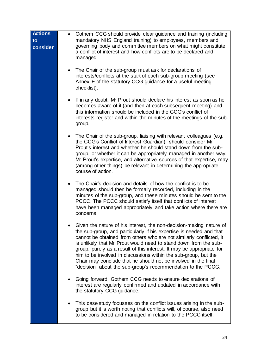| <b>Actions</b><br>to<br>consider | Gothem CCG should provide clear guidance and training (including<br>mandatory NHS England training) to employees, members and<br>governing body and committee members on what might constitute<br>a conflict of interest and how conflicts are to be declared and<br>managed.                                                                                                                                                                                                                                                                                       |
|----------------------------------|---------------------------------------------------------------------------------------------------------------------------------------------------------------------------------------------------------------------------------------------------------------------------------------------------------------------------------------------------------------------------------------------------------------------------------------------------------------------------------------------------------------------------------------------------------------------|
|                                  | The Chair of the sub-group must ask for declarations of<br>$\bullet$<br>interests/conflicts at the start of each sub-group meeting (see<br>Annex E of the statutory CCG guidance for a useful meeting<br>checklist).                                                                                                                                                                                                                                                                                                                                                |
|                                  | If in any doubt, Mr Prout should declare his interest as soon as he<br>becomes aware of it (and then at each subsequent meeting) and<br>this information should be included in the CCG's conflict of<br>interests register and within the minutes of the meetings of the sub-<br>group.                                                                                                                                                                                                                                                                             |
|                                  | The Chair of the sub-group, liaising with relevant colleagues (e.g.<br>$\bullet$<br>the CCG's Conflict of Interest Guardian), should consider Mr<br>Prout's interest and whether he should stand down from the sub-<br>group, or whether it can be appropriately managed in another way.<br>Mr Prout's expertise, and alternative sources of that expertise, may<br>(among other things) be relevant in determining the appropriate<br>course of action.                                                                                                            |
|                                  | The Chair's decision and details of how the conflict is to be<br>managed should then be formally recorded, including in the<br>minutes of the sub-group, and these minutes should be sent to the<br>PCCC. The PCCC should satisfy itself that conflicts of interest<br>have been managed appropriately and take action where there are<br>concerns.                                                                                                                                                                                                                 |
|                                  | Given the nature of his interest, the non-decision-making nature of<br>the sub-group, and particularly if his expertise is needed and that<br>cannot be obtained from others who are not similarly conflicted, it<br>is unlikely that Mr Prout would need to stand down from the sub-<br>group, purely as a result of this interest. It may be appropriate for<br>him to be involved in discussions within the sub-group, but the<br>Chair may conclude that he should not be involved in the final<br>"decision" about the sub-group's recommendation to the PCCC. |
|                                  | Going forward, Gothem CCG needs to ensure declarations of<br>interest are regularly confirmed and updated in accordance with<br>the statutory CCG guidance.                                                                                                                                                                                                                                                                                                                                                                                                         |
|                                  | This case study focusses on the conflict issues arising in the sub-<br>$\bullet$<br>group but it is worth noting that conflicts will, of course, also need<br>to be considered and managed in relation to the PCCC itself.                                                                                                                                                                                                                                                                                                                                          |
|                                  |                                                                                                                                                                                                                                                                                                                                                                                                                                                                                                                                                                     |